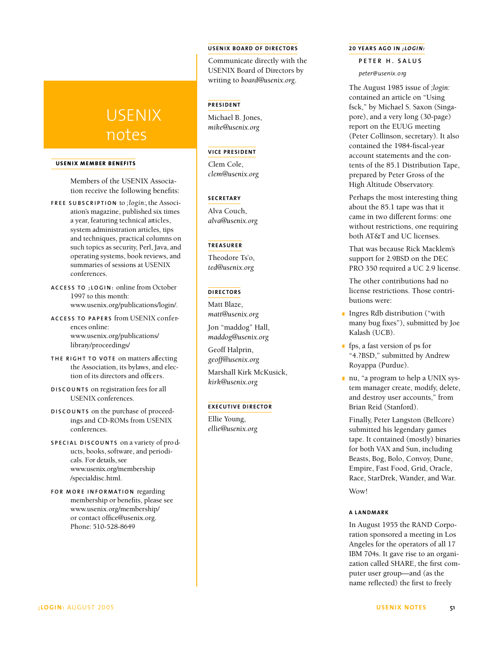# USENIX notes

# **U S E NIX MEMBER BE NE F ITS**

Members of the USENIX Association receive the following benefits:

- **F R E E S U B S C R I P T I O N** to *; l o g i n :*,the Association's magazine, published six times a year, featuring technical articles, system administration articles, tips and techniques, practical columns on such topics as security, Perl, Java, and operating systems, book reviews, and summaries of sessions at USENIX conferences.
- **A C C E S S TO ; L O G I N :** online from October 1997 to this month: www.usenix.org/publications/login/.
- **A C C E S S TO PA P E R S** f rom USENIX c o n f e rences online: www.usenix.org/publications/ library/proceedings/
- **THE RIGHT TO VOTE** on matters affecting the Association, its bylaws, and election of its directors and officers.
- **D I S C O U N T S** on registration fees for all USENIX conferences.
- **D I S C O U N T S** on the purchase of proceedings and CD-ROMs from USENIX conferences.
- **S P E C I A L D I S C O U N T S** on a variety of pro ducts, books, software, and periodicals. For details, see www.usenix.org/membership /specialdisc.html.
- **FOR MORE INFORMATION** regarding membership or benefits, please see www.usenix.org/membership/ or contact office@usenix.org. Phone: 510-528-8649

## **U S E NIX BOA RD OF DIRE CTO RS**

Communicate directly with the USENIX Board of Directors by writing to *board@usenix.org*.

# **PRESIDENT**

Michael B. Jones, *mike@usenix.org*

## **VI CE PRE S ID E NT**

Clem Cole, *clem@usenix.org*

#### **S E CRE TA RY**

Alva Couch, *alva@usenix.org*

### **TREAS UR E R**

Theodore Ts'o, *ted@usenix.org*

## **D I RE CTO RS**

Matt Blaze, *matt@usenix.org*

Jon "maddog" Hall, *maddog@usenix.org*

Geoff Halprin, *geoff@usenix.org*

Marshall Kirk McKusick, *kirk@usenix.org*

#### **EXECUTIVE DIRECTOR**

Ellie Young, *ellie@usenix.org*

#### **20 YEA RS AGO IN** *; LOG IN :*

## **P E T E R H . S A L U S**

*p e t e r @ u s e n i x. o rg*

The August 1985 issue of *;login:* contained an article on "Using fsck," by Michael S. Saxon (Singapore), and a very long (30-page) report on the EUUG meeting (Peter Collinson, secretary). It also contained the 1984-fiscal-year account statements and the contents of the 85.1 Distribution Tape, prepared by Peter Gross of the High Altitude Observatory.

Perhaps the most interesting thing about the 85.1 tape was that it came in two different forms: one without restrictions, one requiring both AT&T and UC licenses.

That was because Rick Macklem's support for 2.9BSD on the DEC PRO 350 required a UC 2.9 license.

The other contributions had no license restrictions. Those contributions were:

- **Ingres Rdb distribution** ("with many bug fixes"), submitted by Joe Kalash (UCB).
- **f** fps, a fast version of ps for "4.?BSD," submitted by Andrew Royappa (Purdue).
- nu, "a program to help a UNIX system manager create, modify, delete, and destroy user accounts," from Brian Reid (Stanford).

Finally, Peter Langston (Bellcore) submitted his legendary games tape. It contained (mostly) binaries for both VAX and Sun, including Beasts, Bog, Bolo, Convoy, Dune, Empire, Fast Food, Grid, Oracle, Race, StarDrek, Wander, and War. Wow!

## **A LA NDMA RK**

In August 1955 the RAND Corporation sponsored a meeting in Los Angeles for the operators of all 17 IBM 704s. It gave rise to an organization called SHARE, the first computer user group—and (as the name reflected) the first to freely